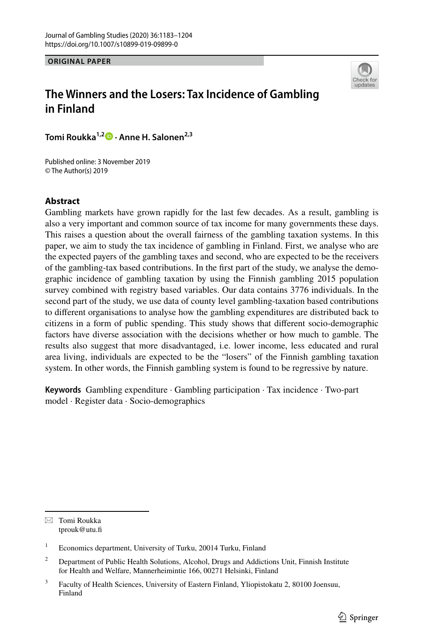**ORIGINAL PAPER**



# **The Winners and the Losers: Tax Incidence of Gambling in Finland**

**Tomi Roukka1,2 · Anne H. Salonen2,3**

Published online: 3 November 2019 © The Author(s) 2019

## **Abstract**

Gambling markets have grown rapidly for the last few decades. As a result, gambling is also a very important and common source of tax income for many governments these days. This raises a question about the overall fairness of the gambling taxation systems. In this paper, we aim to study the tax incidence of gambling in Finland. First, we analyse who are the expected payers of the gambling taxes and second, who are expected to be the receivers of the gambling-tax based contributions. In the frst part of the study, we analyse the demographic incidence of gambling taxation by using the Finnish gambling 2015 population survey combined with registry based variables. Our data contains 3776 individuals. In the second part of the study, we use data of county level gambling-taxation based contributions to diferent organisations to analyse how the gambling expenditures are distributed back to citizens in a form of public spending. This study shows that diferent socio-demographic factors have diverse association with the decisions whether or how much to gamble. The results also suggest that more disadvantaged, i.e. lower income, less educated and rural area living, individuals are expected to be the "losers" of the Finnish gambling taxation system. In other words, the Finnish gambling system is found to be regressive by nature.

**Keywords** Gambling expenditure · Gambling participation · Tax incidence · Two-part model · Register data · Socio-demographics

 $\boxtimes$  Tomi Roukka tprouk@utu.f

<sup>&</sup>lt;sup>1</sup> Economics department, University of Turku, 20014 Turku, Finland

<sup>&</sup>lt;sup>2</sup> Department of Public Health Solutions, Alcohol, Drugs and Addictions Unit, Finnish Institute for Health and Welfare, Mannerheimintie 166, 00271 Helsinki, Finland

<sup>&</sup>lt;sup>3</sup> Faculty of Health Sciences, University of Eastern Finland, Yliopistokatu 2, 80100 Joensuu, Finland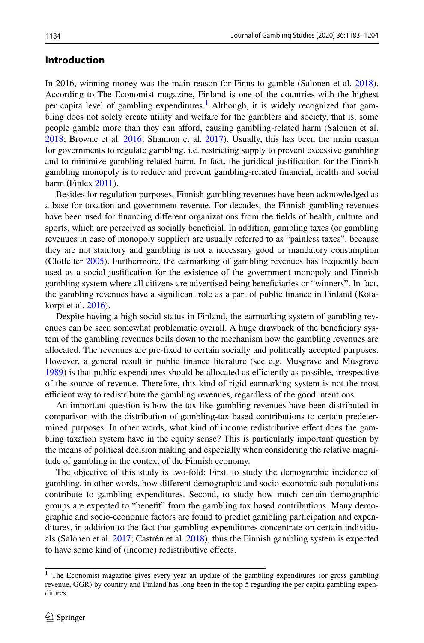## **Introduction**

In 2016, winning money was the main reason for Finns to gamble (Salonen et al. [2018](#page-21-0)). According to The Economist magazine, Finland is one of the countries with the highest per capita level of gambling expenditures.<sup>[1](#page-1-0)</sup> Although, it is widely recognized that gambling does not solely create utility and welfare for the gamblers and society, that is, some people gamble more than they can aford, causing gambling-related harm (Salonen et al. [2018;](#page-21-0) Browne et al. [2016](#page-20-0); Shannon et al. [2017\)](#page-21-1). Usually, this has been the main reason for governments to regulate gambling, i.e. restricting supply to prevent excessive gambling and to minimize gambling-related harm. In fact, the juridical justifcation for the Finnish gambling monopoly is to reduce and prevent gambling-related fnancial, health and social harm (Finlex [2011](#page-20-1)).

Besides for regulation purposes, Finnish gambling revenues have been acknowledged as a base for taxation and government revenue. For decades, the Finnish gambling revenues have been used for fnancing diferent organizations from the felds of health, culture and sports, which are perceived as socially beneficial. In addition, gambling taxes (or gambling revenues in case of monopoly supplier) are usually referred to as "painless taxes", because they are not statutory and gambling is not a necessary good or mandatory consumption (Clotfelter [2005\)](#page-20-2). Furthermore, the earmarking of gambling revenues has frequently been used as a social justifcation for the existence of the government monopoly and Finnish gambling system where all citizens are advertised being benefciaries or "winners". In fact, the gambling revenues have a signifcant role as a part of public fnance in Finland (Kotakorpi et al. [2016](#page-20-3)).

Despite having a high social status in Finland, the earmarking system of gambling revenues can be seen somewhat problematic overall. A huge drawback of the benefciary system of the gambling revenues boils down to the mechanism how the gambling revenues are allocated. The revenues are pre-fxed to certain socially and politically accepted purposes. However, a general result in public fnance literature (see e.g. Musgrave and Musgrave [1989\)](#page-20-4) is that public expenditures should be allocated as efciently as possible, irrespective of the source of revenue. Therefore, this kind of rigid earmarking system is not the most efficient way to redistribute the gambling revenues, regardless of the good intentions.

An important question is how the tax-like gambling revenues have been distributed in comparison with the distribution of gambling-tax based contributions to certain predetermined purposes. In other words, what kind of income redistributive efect does the gambling taxation system have in the equity sense? This is particularly important question by the means of political decision making and especially when considering the relative magnitude of gambling in the context of the Finnish economy.

The objective of this study is two-fold: First, to study the demographic incidence of gambling, in other words, how diferent demographic and socio-economic sub-populations contribute to gambling expenditures. Second, to study how much certain demographic groups are expected to "beneft" from the gambling tax based contributions. Many demographic and socio-economic factors are found to predict gambling participation and expenditures, in addition to the fact that gambling expenditures concentrate on certain individuals (Salonen et al. [2017;](#page-21-2) Castrén et al. [2018](#page-20-5)), thus the Finnish gambling system is expected to have some kind of (income) redistributive efects.

<span id="page-1-0"></span><sup>&</sup>lt;sup>1</sup> The Economist magazine gives every year an update of the gambling expenditures (or gross gambling revenue, GGR) by country and Finland has long been in the top 5 regarding the per capita gambling expenditures.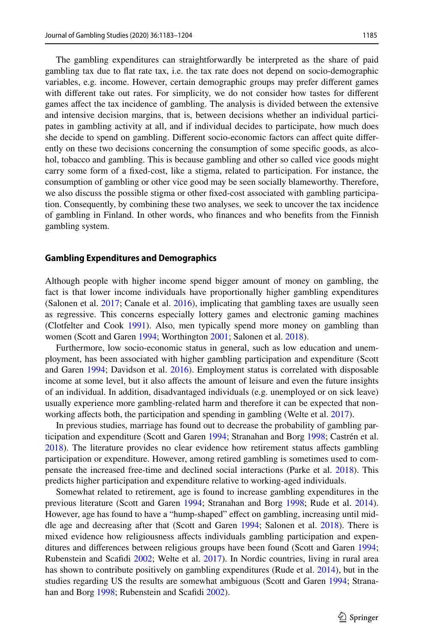The gambling expenditures can straightforwardly be interpreted as the share of paid gambling tax due to fat rate tax, i.e. the tax rate does not depend on socio-demographic variables, e.g. income. However, certain demographic groups may prefer diferent games with diferent take out rates. For simplicity, we do not consider how tastes for diferent games afect the tax incidence of gambling. The analysis is divided between the extensive and intensive decision margins, that is, between decisions whether an individual participates in gambling activity at all, and if individual decides to participate, how much does she decide to spend on gambling. Diferent socio-economic factors can afect quite diferently on these two decisions concerning the consumption of some specifc goods, as alcohol, tobacco and gambling. This is because gambling and other so called vice goods might carry some form of a fxed-cost, like a stigma, related to participation. For instance, the consumption of gambling or other vice good may be seen socially blameworthy. Therefore, we also discuss the possible stigma or other fxed-cost associated with gambling participation. Consequently, by combining these two analyses, we seek to uncover the tax incidence of gambling in Finland. In other words, who fnances and who benefts from the Finnish gambling system.

#### **Gambling Expenditures and Demographics**

Although people with higher income spend bigger amount of money on gambling, the fact is that lower income individuals have proportionally higher gambling expenditures (Salonen et al. [2017;](#page-21-2) Canale et al. [2016](#page-20-6)), implicating that gambling taxes are usually seen as regressive. This concerns especially lottery games and electronic gaming machines (Clotfelter and Cook [1991\)](#page-20-7). Also, men typically spend more money on gambling than women (Scott and Garen [1994;](#page-21-3) Worthington [2001](#page-21-4); Salonen et al. [2018\)](#page-21-0).

Furthermore, low socio-economic status in general, such as low education and unemployment, has been associated with higher gambling participation and expenditure (Scott and Garen [1994](#page-21-3); Davidson et al. [2016\)](#page-20-8). Employment status is correlated with disposable income at some level, but it also afects the amount of leisure and even the future insights of an individual. In addition, disadvantaged individuals (e.g. unemployed or on sick leave) usually experience more gambling-related harm and therefore it can be expected that non-working affects both, the participation and spending in gambling (Welte et al. [2017](#page-21-5)).

In previous studies, marriage has found out to decrease the probability of gambling participation and expenditure (Scott and Garen [1994;](#page-21-3) Stranahan and Borg [1998](#page-21-6); Castrén et al. [2018\)](#page-20-5). The literature provides no clear evidence how retirement status afects gambling participation or expenditure. However, among retired gambling is sometimes used to compensate the increased free-time and declined social interactions (Parke et al. [2018\)](#page-20-9). This predicts higher participation and expenditure relative to working-aged individuals.

Somewhat related to retirement, age is found to increase gambling expenditures in the previous literature (Scott and Garen [1994;](#page-21-3) Stranahan and Borg [1998;](#page-21-6) Rude et al. [2014](#page-20-10)). However, age has found to have a "hump-shaped" efect on gambling, increasing until middle age and decreasing after that (Scott and Garen [1994;](#page-21-3) Salonen et al. [2018](#page-21-0)). There is mixed evidence how religiousness afects individuals gambling participation and expenditures and diferences between religious groups have been found (Scott and Garen [1994;](#page-21-3) Rubenstein and Scafdi [2002;](#page-20-11) Welte et al. [2017](#page-21-5)). In Nordic countries, living in rural area has shown to contribute positively on gambling expenditures (Rude et al. [2014\)](#page-20-10), but in the studies regarding US the results are somewhat ambiguous (Scott and Garen [1994;](#page-21-3) Strana-han and Borg [1998](#page-21-6); Rubenstein and Scafidi [2002\)](#page-20-11).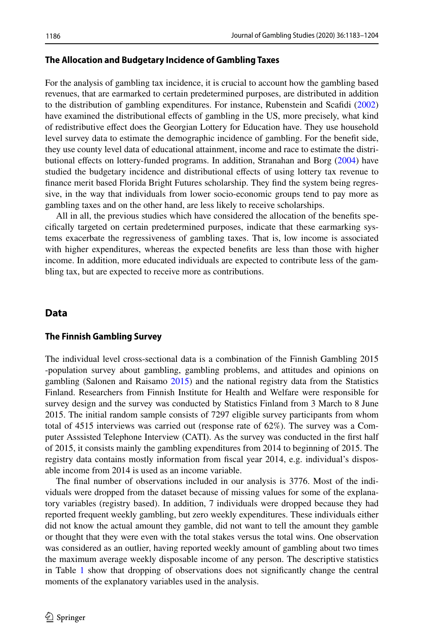#### **The Allocation and Budgetary Incidence of Gambling Taxes**

For the analysis of gambling tax incidence, it is crucial to account how the gambling based revenues, that are earmarked to certain predetermined purposes, are distributed in addition to the distribution of gambling expenditures. For instance, Rubenstein and Scafdi [\(2002](#page-20-11)) have examined the distributional efects of gambling in the US, more precisely, what kind of redistributive efect does the Georgian Lottery for Education have. They use household level survey data to estimate the demographic incidence of gambling. For the beneft side, they use county level data of educational attainment, income and race to estimate the distributional efects on lottery-funded programs. In addition, Stranahan and Borg [\(2004](#page-21-7)) have studied the budgetary incidence and distributional efects of using lottery tax revenue to fnance merit based Florida Bright Futures scholarship. They fnd the system being regressive, in the way that individuals from lower socio-economic groups tend to pay more as gambling taxes and on the other hand, are less likely to receive scholarships.

All in all, the previous studies which have considered the allocation of the benefts specifcally targeted on certain predetermined purposes, indicate that these earmarking systems exacerbate the regressiveness of gambling taxes. That is, low income is associated with higher expenditures, whereas the expected benefts are less than those with higher income. In addition, more educated individuals are expected to contribute less of the gambling tax, but are expected to receive more as contributions.

## **Data**

#### **The Finnish Gambling Survey**

The individual level cross-sectional data is a combination of the Finnish Gambling 2015 -population survey about gambling, gambling problems, and attitudes and opinions on gambling (Salonen and Raisamo [2015](#page-21-8)) and the national registry data from the Statistics Finland. Researchers from Finnish Institute for Health and Welfare were responsible for survey design and the survey was conducted by Statistics Finland from 3 March to 8 June 2015. The initial random sample consists of 7297 eligible survey participants from whom total of 4515 interviews was carried out (response rate of 62%). The survey was a Computer Asssisted Telephone Interview (CATI). As the survey was conducted in the frst half of 2015, it consists mainly the gambling expenditures from 2014 to beginning of 2015. The registry data contains mostly information from fscal year 2014, e.g. individual's disposable income from 2014 is used as an income variable.

The fnal number of observations included in our analysis is 3776. Most of the individuals were dropped from the dataset because of missing values for some of the explanatory variables (registry based). In addition, 7 individuals were dropped because they had reported frequent weekly gambling, but zero weekly expenditures. These individuals either did not know the actual amount they gamble, did not want to tell the amount they gamble or thought that they were even with the total stakes versus the total wins. One observation was considered as an outlier, having reported weekly amount of gambling about two times the maximum average weekly disposable income of any person. The descriptive statistics in Table [1](#page-4-0) show that dropping of observations does not signifcantly change the central moments of the explanatory variables used in the analysis.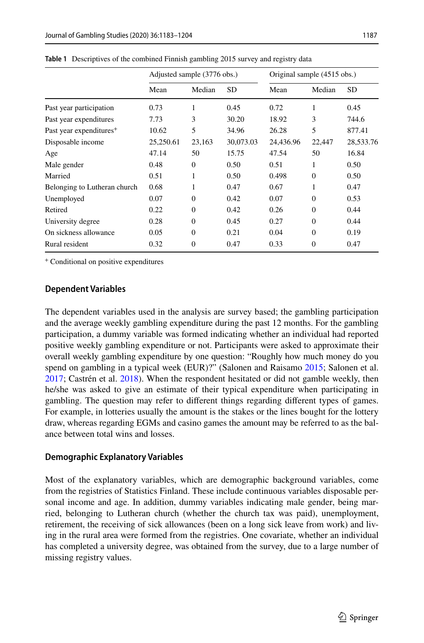|                                     | Adjusted sample (3776 obs.) |              |           | Original sample (4515 obs.) |              |           |
|-------------------------------------|-----------------------------|--------------|-----------|-----------------------------|--------------|-----------|
|                                     | Mean                        | Median       | SD.       | Mean                        | Median       | <b>SD</b> |
| Past year participation             | 0.73                        | 1            | 0.45      | 0.72                        | 1            | 0.45      |
| Past year expenditures              | 7.73                        | 3            | 30.20     | 18.92                       | 3            | 744.6     |
| Past year expenditures <sup>+</sup> | 10.62                       | 5            | 34.96     | 26.28                       | 5            | 877.41    |
| Disposable income                   | 25,250.61                   | 23,163       | 30,073.03 | 24.436.96                   | 22,447       | 28,533.76 |
| Age                                 | 47.14                       | 50           | 15.75     | 47.54                       | 50           | 16.84     |
| Male gender                         | 0.48                        | $\mathbf{0}$ | 0.50      | 0.51                        | 1            | 0.50      |
| Married                             | 0.51                        | 1            | 0.50      | 0.498                       | $\Omega$     | 0.50      |
| Belonging to Lutheran church        | 0.68                        | 1            | 0.47      | 0.67                        | 1            | 0.47      |
| Unemployed                          | 0.07                        | $\Omega$     | 0.42      | 0.07                        | $\mathbf{0}$ | 0.53      |
| Retired                             | 0.22                        | $\Omega$     | 0.42      | 0.26                        | $\Omega$     | 0.44      |
| University degree                   | 0.28                        | $\Omega$     | 0.45      | 0.27                        | $\Omega$     | 0.44      |
| On sickness allowance               | 0.05                        | $\Omega$     | 0.21      | 0.04                        | $\mathbf{0}$ | 0.19      |
| Rural resident                      | 0.32                        | $\theta$     | 0.47      | 0.33                        | $\theta$     | 0.47      |

<span id="page-4-0"></span>**Table 1** Descriptives of the combined Finnish gambling 2015 survey and registry data

<sup>+</sup> Conditional on positive expenditures

## **Dependent Variables**

The dependent variables used in the analysis are survey based; the gambling participation and the average weekly gambling expenditure during the past 12 months. For the gambling participation, a dummy variable was formed indicating whether an individual had reported positive weekly gambling expenditure or not. Participants were asked to approximate their overall weekly gambling expenditure by one question: "Roughly how much money do you spend on gambling in a typical week (EUR)?" (Salonen and Raisamo [2015](#page-21-8); Salonen et al. [2017;](#page-21-2) Castrén et al. [2018\)](#page-20-5). When the respondent hesitated or did not gamble weekly, then he/she was asked to give an estimate of their typical expenditure when participating in gambling. The question may refer to diferent things regarding diferent types of games. For example, in lotteries usually the amount is the stakes or the lines bought for the lottery draw, whereas regarding EGMs and casino games the amount may be referred to as the balance between total wins and losses.

## **Demographic Explanatory Variables**

Most of the explanatory variables, which are demographic background variables, come from the registries of Statistics Finland. These include continuous variables disposable personal income and age. In addition, dummy variables indicating male gender, being married, belonging to Lutheran church (whether the church tax was paid), unemployment, retirement, the receiving of sick allowances (been on a long sick leave from work) and living in the rural area were formed from the registries. One covariate, whether an individual has completed a university degree, was obtained from the survey, due to a large number of missing registry values.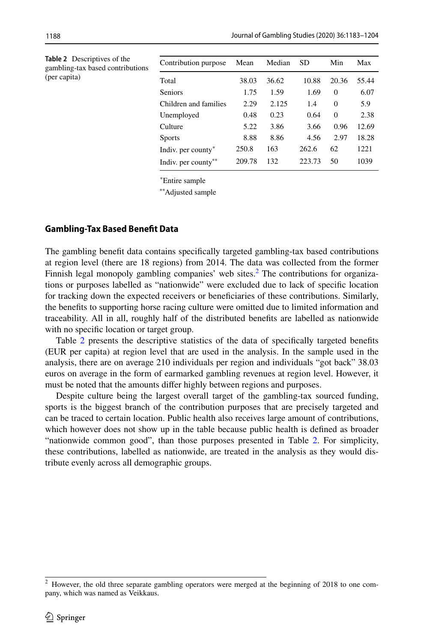<span id="page-5-1"></span>

| <b>Table 2</b> Descriptives of the<br>gambling-tax based contributions<br>(per capita) | Contribution purpose  | Mean   | Median | <b>SD</b> | Min      | Max   |
|----------------------------------------------------------------------------------------|-----------------------|--------|--------|-----------|----------|-------|
|                                                                                        | Total                 | 38.03  | 36.62  | 10.88     | 20.36    | 55.44 |
|                                                                                        | <b>Seniors</b>        | 1.75   | 1.59   | 1.69      | $\Omega$ | 6.07  |
|                                                                                        | Children and families | 2.29   | 2.125  | 1.4       | $\Omega$ | 5.9   |
|                                                                                        | Unemployed            | 0.48   | 0.23   | 0.64      | $\Omega$ | 2.38  |
|                                                                                        | Culture               | 5.22   | 3.86   | 3.66      | 0.96     | 12.69 |
|                                                                                        | <b>Sports</b>         | 8.88   | 8.86   | 4.56      | 2.97     | 18.28 |
|                                                                                        | Indiv. per county*    | 250.8  | 163    | 262.6     | 62       | 1221  |
|                                                                                        | Indiv. per county**   | 209.78 | 132    | 223.73    | 50       | 1039  |
|                                                                                        |                       |        |        |           |          |       |

∗ Entire sample

∗∗Adjusted sample

## **Gambling‑Tax Based Beneft Data**

The gambling beneft data contains specifcally targeted gambling-tax based contributions at region level (there are 18 regions) from 2014. The data was collected from the former Finnish legal monopoly gambling companies' web sites.<sup>2</sup> The contributions for organizations or purposes labelled as "nationwide" were excluded due to lack of specifc location for tracking down the expected receivers or benefciaries of these contributions. Similarly, the benefts to supporting horse racing culture were omitted due to limited information and traceability. All in all, roughly half of the distributed benefts are labelled as nationwide with no specifc location or target group.

Table [2](#page-5-1) presents the descriptive statistics of the data of specifcally targeted benefts (EUR per capita) at region level that are used in the analysis. In the sample used in the analysis, there are on average 210 individuals per region and individuals "got back" 38.03 euros on average in the form of earmarked gambling revenues at region level. However, it must be noted that the amounts difer highly between regions and purposes.

Despite culture being the largest overall target of the gambling-tax sourced funding, sports is the biggest branch of the contribution purposes that are precisely targeted and can be traced to certain location. Public health also receives large amount of contributions, which however does not show up in the table because public health is defned as broader "nationwide common good", than those purposes presented in Table [2](#page-5-1). For simplicity, these contributions, labelled as nationwide, are treated in the analysis as they would distribute evenly across all demographic groups.

<span id="page-5-0"></span> $2$  However, the old three separate gambling operators were merged at the beginning of 2018 to one company, which was named as Veikkaus.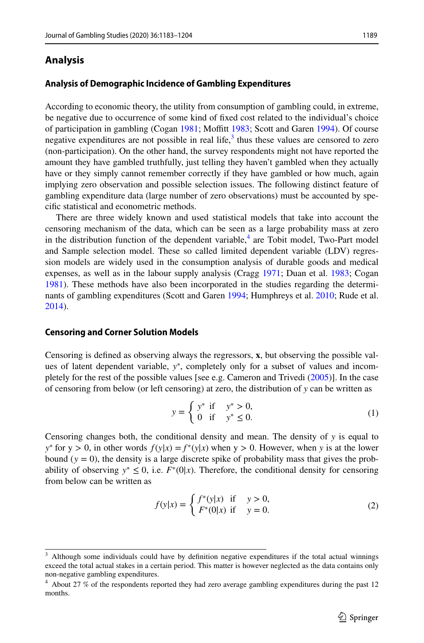## **Analysis**

## **Analysis of Demographic Incidence of Gambling Expenditures**

According to economic theory, the utility from consumption of gambling could, in extreme, be negative due to occurrence of some kind of fxed cost related to the individual's choice of participation in gambling (Cogan [1981;](#page-20-12) Moftt [1983;](#page-20-13) Scott and Garen [1994](#page-21-3)). Of course negative expenditures are not possible in real life, $3$  thus these values are censored to zero (non-participation). On the other hand, the survey respondents might not have reported the amount they have gambled truthfully, just telling they haven't gambled when they actually have or they simply cannot remember correctly if they have gambled or how much, again implying zero observation and possible selection issues. The following distinct feature of gambling expenditure data (large number of zero observations) must be accounted by specifc statistical and econometric methods.

There are three widely known and used statistical models that take into account the censoring mechanism of the data, which can be seen as a large probability mass at zero in the distribution function of the dependent variable, $4$  are Tobit model, Two-Part model and Sample selection model. These so called limited dependent variable (LDV) regression models are widely used in the consumption analysis of durable goods and medical expenses, as well as in the labour supply analysis (Cragg [1971](#page-20-14); Duan et al. [1983](#page-20-15); Cogan [1981\)](#page-20-12). These methods have also been incorporated in the studies regarding the determinants of gambling expenditures (Scott and Garen [1994;](#page-21-3) Humphreys et al. [2010;](#page-20-16) Rude et al. [2014\)](#page-20-10).

#### **Censoring and Corner Solution Models**

Censoring is defned as observing always the regressors, **x**, but observing the possible values of latent dependent variable, *y*<sup>∗</sup>, completely only for a subset of values and incompletely for the rest of the possible values [see e.g. Cameron and Trivedi ([2005\)](#page-20-17)]. In the case of censoring from below (or left censoring) at zero, the distribution of *y* can be written as

$$
y = \begin{cases} y^* & \text{if } y^* > 0, \\ 0 & \text{if } y^* \le 0. \end{cases}
$$
 (1)

Censoring changes both, the conditional density and mean. The density of *y* is equal to  $y^*$  for  $y > 0$ , in other words  $f(y|x) = f^*(y|x)$  when  $y > 0$ . However, when *y* is at the lower bound  $(y = 0)$ , the density is a large discrete spike of probability mass that gives the probability of observing  $y^* \leq 0$ , i.e.  $F^*(0|x)$ . Therefore, the conditional density for censoring from below can be written as

$$
f(y|x) = \begin{cases} f^*(y|x) & \text{if } y > 0, \\ F^*(0|x) & \text{if } y = 0. \end{cases}
$$
 (2)

<span id="page-6-0"></span><sup>3</sup> Although some individuals could have by defnition negative expenditures if the total actual winnings exceed the total actual stakes in a certain period. This matter is however neglected as the data contains only non-negative gambling expenditures.

<span id="page-6-1"></span><sup>4</sup> About 27 % of the respondents reported they had zero average gambling expenditures during the past 12 months.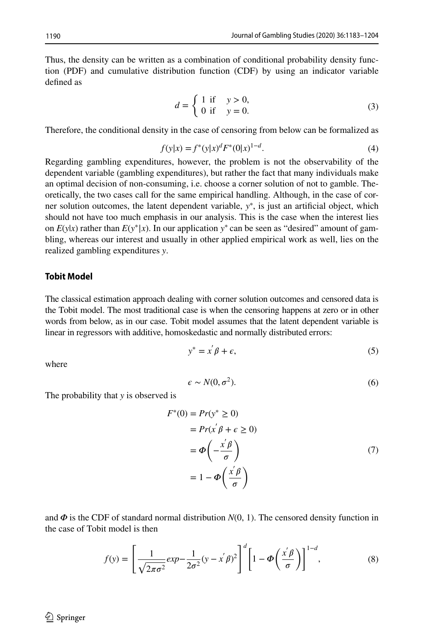Thus, the density can be written as a combination of conditional probability density function (PDF) and cumulative distribution function (CDF) by using an indicator variable defned as

$$
d = \begin{cases} 1 & \text{if } y > 0, \\ 0 & \text{if } y = 0. \end{cases}
$$
 (3)

Therefore, the conditional density in the case of censoring from below can be formalized as

$$
f(y|x) = f^*(y|x)^d F^*(0|x)^{1-d}.
$$
 (4)

Regarding gambling expenditures, however, the problem is not the observability of the dependent variable (gambling expenditures), but rather the fact that many individuals make an optimal decision of non-consuming, i.e. choose a corner solution of not to gamble. Theoretically, the two cases call for the same empirical handling. Although, in the case of corner solution outcomes, the latent dependent variable, *y*<sup>∗</sup>, is just an artifcial object, which should not have too much emphasis in our analysis. This is the case when the interest lies on  $E(y|x)$  rather than  $E(y^*|x)$ . In our application  $y^*$  can be seen as "desired" amount of gambling, whereas our interest and usually in other applied empirical work as well, lies on the realized gambling expenditures *y*.

#### **Tobit Model**

The classical estimation approach dealing with corner solution outcomes and censored data is the Tobit model. The most traditional case is when the censoring happens at zero or in other words from below, as in our case. Tobit model assumes that the latent dependent variable is linear in regressors with additive, homoskedastic and normally distributed errors:

$$
y^* = x'\beta + \epsilon,\tag{5}
$$

where

$$
\epsilon \sim N(0, \sigma^2). \tag{6}
$$

The probability that *y* is observed is

$$
F^*(0) = Pr(y^* \ge 0)
$$
  
=  $Pr(x'\beta + \epsilon \ge 0)$   
=  $\Phi\left(-\frac{x'\beta}{\sigma}\right)$  (7)  
=  $1 - \Phi\left(\frac{x'\beta}{\sigma}\right)$ 

and  $\Phi$  is the CDF of standard normal distribution  $N(0, 1)$ . The censored density function in the case of Tobit model is then

$$
f(y) = \left[\frac{1}{\sqrt{2\pi\sigma^2}} exp - \frac{1}{2\sigma^2} (y - x^2 \beta)^2\right]^d \left[1 - \Phi\left(\frac{x^2 \beta}{\sigma}\right)\right]^{1-d},\tag{8}
$$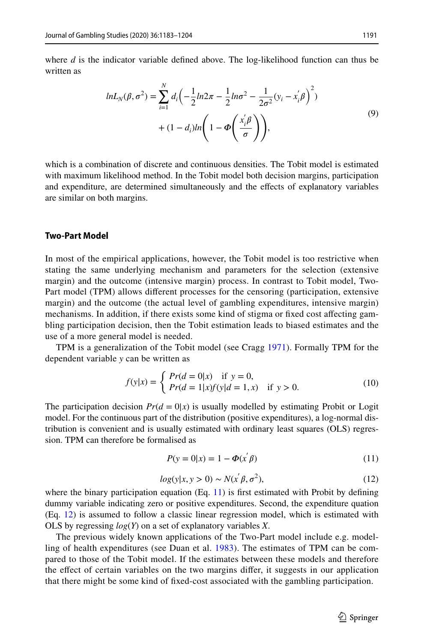where *d* is the indicator variable defned above. The log-likelihood function can thus be written as

$$
lnL_N(\beta, \sigma^2) = \sum_{i=1}^N d_i \left( -\frac{1}{2} ln 2\pi - \frac{1}{2} ln \sigma^2 - \frac{1}{2\sigma^2} (y_i - x_i' \beta) \right)
$$
  
+ 
$$
(1 - d_i) ln \left( 1 - \Phi \left( \frac{x_i' \beta}{\sigma} \right) \right),
$$
 (9)

which is a combination of discrete and continuous densities. The Tobit model is estimated with maximum likelihood method. In the Tobit model both decision margins, participation and expenditure, are determined simultaneously and the efects of explanatory variables are similar on both margins.

### **Two‑Part Model**

In most of the empirical applications, however, the Tobit model is too restrictive when stating the same underlying mechanism and parameters for the selection (extensive margin) and the outcome (intensive margin) process. In contrast to Tobit model, Two-Part model (TPM) allows diferent processes for the censoring (participation, extensive margin) and the outcome (the actual level of gambling expenditures, intensive margin) mechanisms. In addition, if there exists some kind of stigma or fxed cost afecting gambling participation decision, then the Tobit estimation leads to biased estimates and the use of a more general model is needed.

TPM is a generalization of the Tobit model (see Cragg [1971\)](#page-20-14). Formally TPM for the dependent variable *y* can be written as

$$
f(y|x) = \begin{cases} Pr(d = 0|x) & \text{if } y = 0, \\ Pr(d = 1|x)f(y|d = 1, x) & \text{if } y > 0. \end{cases}
$$
 (10)

The participation decision  $Pr(d = 0|x)$  is usually modelled by estimating Probit or Logit model. For the continuous part of the distribution (positive expenditures), a log-normal distribution is convenient and is usually estimated with ordinary least squares (OLS) regression. TPM can therefore be formalised as

<span id="page-8-1"></span><span id="page-8-0"></span>
$$
P(y = 0|x) = 1 - \Phi(x' \beta)
$$
\n(11)

$$
log(y|x, y > 0) \sim N(x^{'}\beta, \sigma^2),
$$
\n(12)

where the binary participation equation  $(Eq. 11)$  $(Eq. 11)$  $(Eq. 11)$  is first estimated with Probit by defining dummy variable indicating zero or positive expenditures. Second, the expenditure quation (Eq. [12\)](#page-8-1) is assumed to follow a classic linear regression model, which is estimated with OLS by regressing *log*(*Y*) on a set of explanatory variables *X*.

The previous widely known applications of the Two-Part model include e.g. modelling of health expenditures (see Duan et al. [1983](#page-20-15)). The estimates of TPM can be compared to those of the Tobit model. If the estimates between these models and therefore the efect of certain variables on the two margins difer, it suggests in our application that there might be some kind of fxed-cost associated with the gambling participation.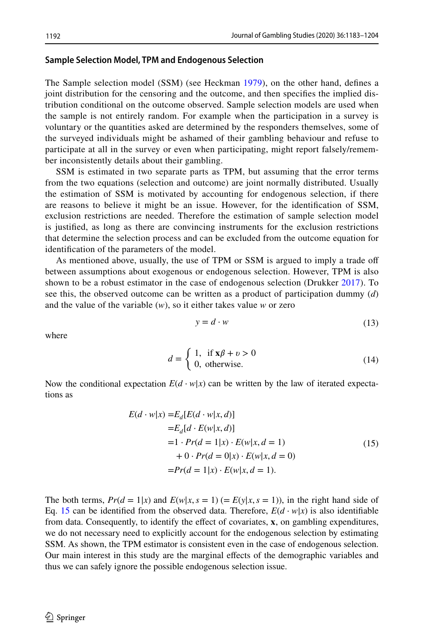#### **Sample Selection Model, TPM and Endogenous Selection**

The Sample selection model (SSM) (see Heckman [1979\)](#page-20-18), on the other hand, defnes a joint distribution for the censoring and the outcome, and then specifes the implied distribution conditional on the outcome observed. Sample selection models are used when the sample is not entirely random. For example when the participation in a survey is voluntary or the quantities asked are determined by the responders themselves, some of the surveyed individuals might be ashamed of their gambling behaviour and refuse to participate at all in the survey or even when participating, might report falsely/remember inconsistently details about their gambling.

SSM is estimated in two separate parts as TPM, but assuming that the error terms from the two equations (selection and outcome) are joint normally distributed. Usually the estimation of SSM is motivated by accounting for endogenous selection, if there are reasons to believe it might be an issue. However, for the identifcation of SSM, exclusion restrictions are needed. Therefore the estimation of sample selection model is justifed, as long as there are convincing instruments for the exclusion restrictions that determine the selection process and can be excluded from the outcome equation for identifcation of the parameters of the model.

As mentioned above, usually, the use of TPM or SSM is argued to imply a trade of between assumptions about exogenous or endogenous selection. However, TPM is also shown to be a robust estimator in the case of endogenous selection (Drukker [2017\)](#page-20-19). To see this, the observed outcome can be written as a product of participation dummy (*d*) and the value of the variable (*w*), so it either takes value *w* or zero

<span id="page-9-0"></span>
$$
y = d \cdot w \tag{13}
$$

where

$$
d = \begin{cases} 1, & \text{if } \mathbf{x}\beta + \upsilon > 0 \\ 0, & \text{otherwise.} \end{cases}
$$
 (14)

Now the conditional expectation  $E(d \cdot w|x)$  can be written by the law of iterated expectations as

$$
E(d \cdot w|x) = E_d[E(d \cdot w|x, d)]
$$
  
=  $E_d[d \cdot E(w|x, d)]$   
=  $1 \cdot Pr(d = 1|x) \cdot E(w|x, d = 1)$   
+  $0 \cdot Pr(d = 0|x) \cdot E(w|x, d = 0)$   
=  $Pr(d = 1|x) \cdot E(w|x, d = 1)$ .

The both terms,  $Pr(d = 1|x)$  and  $E(w|x, s = 1)$  (=  $E(y|x, s = 1)$ ), in the right hand side of Eq. [15](#page-9-0) can be identified from the observed data. Therefore,  $E(d \cdot w|x)$  is also identifiable from data. Consequently, to identify the effect of covariates, **x**, on gambling expenditures, we do not necessary need to explicitly account for the endogenous selection by estimating SSM. As shown, the TPM estimator is consistent even in the case of endogenous selection. Our main interest in this study are the marginal efects of the demographic variables and thus we can safely ignore the possible endogenous selection issue.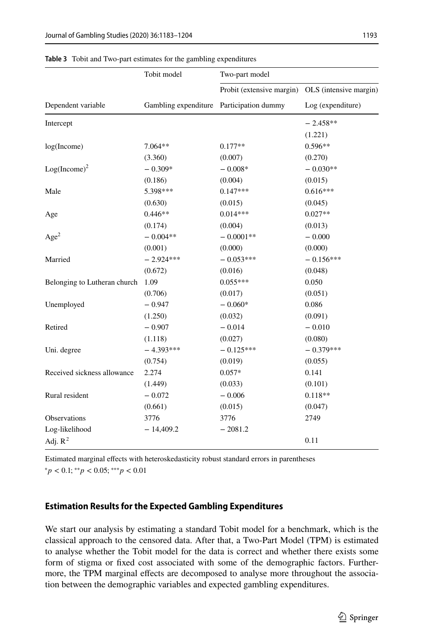|                              | Tobit model                              | Two-part model            |                                             |  |  |
|------------------------------|------------------------------------------|---------------------------|---------------------------------------------|--|--|
|                              |                                          | Probit (extensive margin) | OLS (intensive margin)<br>Log (expenditure) |  |  |
| Dependent variable           | Gambling expenditure Participation dummy |                           |                                             |  |  |
| Intercept                    |                                          |                           | $-2.458**$                                  |  |  |
|                              |                                          |                           | (1.221)                                     |  |  |
| log(Income)                  | $7.064**$                                | $0.177**$                 | $0.596**$                                   |  |  |
|                              | (3.360)                                  | (0.007)                   | (0.270)                                     |  |  |
| $Log(Income)^2$              | $-0.309*$                                | $-0.008*$                 | $-0.030**$                                  |  |  |
|                              | (0.186)                                  | (0.004)                   | (0.015)                                     |  |  |
| Male                         | 5.398***                                 | $0.147***$                | $0.616***$                                  |  |  |
|                              | (0.630)                                  | (0.015)                   | (0.045)                                     |  |  |
| Age                          | $0.446**$                                | $0.014***$                | $0.027**$                                   |  |  |
|                              | (0.174)                                  | (0.004)                   | (0.013)                                     |  |  |
| Age <sup>2</sup>             | $-0.004**$                               | $-0.0001**$               | $-0.000$                                    |  |  |
|                              | (0.001)                                  | (0.000)                   | (0.000)                                     |  |  |
| Married                      | $-2.924***$                              | $-0.053***$               | $-0.156***$                                 |  |  |
|                              | (0.672)                                  | (0.016)                   | (0.048)                                     |  |  |
| Belonging to Lutheran church | 1.09                                     | $0.055***$                | 0.050                                       |  |  |
|                              | (0.706)                                  | (0.017)                   | (0.051)                                     |  |  |
| Unemployed                   | $-0.947$                                 | $-0.060*$                 | 0.086                                       |  |  |
|                              | (1.250)                                  | (0.032)                   | (0.091)                                     |  |  |
| Retired                      | $-0.907$                                 | $-0.014$                  | $-0.010$                                    |  |  |
|                              | (1.118)                                  | (0.027)                   | (0.080)                                     |  |  |
| Uni. degree                  | $-4.393***$                              | $-0.125***$               | $-0.379***$                                 |  |  |
|                              | (0.754)                                  | (0.019)                   | (0.055)                                     |  |  |
| Received sickness allowance  | 2.274                                    | $0.057*$                  | 0.141                                       |  |  |
|                              | (1.449)                                  | (0.033)                   | (0.101)                                     |  |  |
| Rural resident               | $-0.072$                                 | $-0.006$                  | $0.118**$                                   |  |  |
|                              | (0.661)                                  | (0.015)                   | (0.047)                                     |  |  |
| Observations                 | 3776                                     | 3776                      | 2749                                        |  |  |
| Log-likelihood               | $-14,409.2$                              | $-2081.2$                 |                                             |  |  |
| Adj. $R^2$                   |                                          |                           | 0.11                                        |  |  |

<span id="page-10-0"></span>

Estimated marginal efects with heteroskedasticity robust standard errors in parentheses <sup>∗</sup>*p <* 0.1; ∗∗*p <* 0.05; ∗∗∗*p <* 0.01

## **Estimation Results for the Expected Gambling Expenditures**

We start our analysis by estimating a standard Tobit model for a benchmark, which is the classical approach to the censored data. After that, a Two-Part Model (TPM) is estimated to analyse whether the Tobit model for the data is correct and whether there exists some form of stigma or fxed cost associated with some of the demographic factors. Furthermore, the TPM marginal efects are decomposed to analyse more throughout the association between the demographic variables and expected gambling expenditures.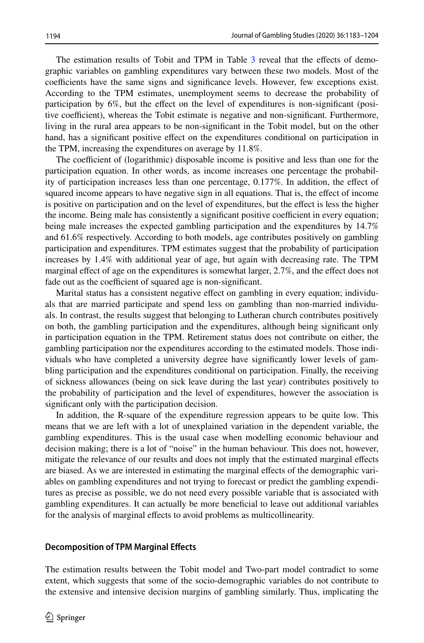The estimation results of Tobit and TPM in Table [3](#page-10-0) reveal that the effects of demographic variables on gambling expenditures vary between these two models. Most of the coefficients have the same signs and significance levels. However, few exceptions exist. According to the TPM estimates, unemployment seems to decrease the probability of participation by 6%, but the efect on the level of expenditures is non-signifcant (positive coefficient), whereas the Tobit estimate is negative and non-significant. Furthermore, living in the rural area appears to be non-signifcant in the Tobit model, but on the other hand, has a signifcant positive efect on the expenditures conditional on participation in the TPM, increasing the expenditures on average by 11.8%.

The coefficient of (logarithmic) disposable income is positive and less than one for the participation equation. In other words, as income increases one percentage the probability of participation increases less than one percentage, 0.177%. In addition, the efect of squared income appears to have negative sign in all equations. That is, the efect of income is positive on participation and on the level of expenditures, but the efect is less the higher the income. Being male has consistently a significant positive coefficient in every equation; being male increases the expected gambling participation and the expenditures by 14.7% and 61.6% respectively. According to both models, age contributes positively on gambling participation and expenditures. TPM estimates suggest that the probability of participation increases by 1.4% with additional year of age, but again with decreasing rate. The TPM marginal efect of age on the expenditures is somewhat larger, 2.7%, and the efect does not fade out as the coefficient of squared age is non-significant.

Marital status has a consistent negative efect on gambling in every equation; individuals that are married participate and spend less on gambling than non-married individuals. In contrast, the results suggest that belonging to Lutheran church contributes positively on both, the gambling participation and the expenditures, although being signifcant only in participation equation in the TPM. Retirement status does not contribute on either, the gambling participation nor the expenditures according to the estimated models. Those individuals who have completed a university degree have signifcantly lower levels of gambling participation and the expenditures conditional on participation. Finally, the receiving of sickness allowances (being on sick leave during the last year) contributes positively to the probability of participation and the level of expenditures, however the association is signifcant only with the participation decision.

In addition, the R-square of the expenditure regression appears to be quite low. This means that we are left with a lot of unexplained variation in the dependent variable, the gambling expenditures. This is the usual case when modelling economic behaviour and decision making; there is a lot of "noise" in the human behaviour. This does not, however, mitigate the relevance of our results and does not imply that the estimated marginal efects are biased. As we are interested in estimating the marginal efects of the demographic variables on gambling expenditures and not trying to forecast or predict the gambling expenditures as precise as possible, we do not need every possible variable that is associated with gambling expenditures. It can actually be more benefcial to leave out additional variables for the analysis of marginal effects to avoid problems as multicollinearity.

#### **Decomposition of TPM Marginal Efects**

The estimation results between the Tobit model and Two-part model contradict to some extent, which suggests that some of the socio-demographic variables do not contribute to the extensive and intensive decision margins of gambling similarly. Thus, implicating the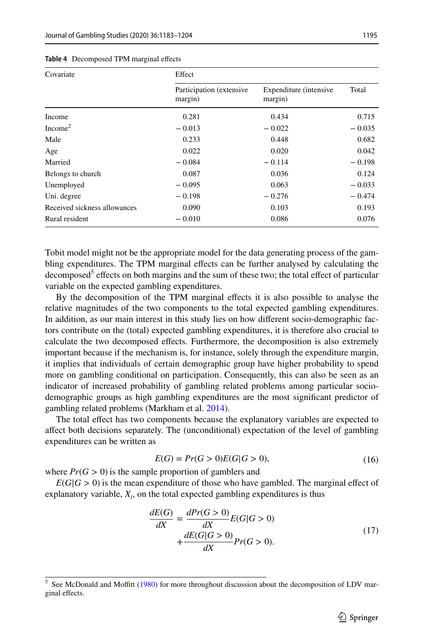| Covariate                    | Effect                              |                                   |          |  |  |
|------------------------------|-------------------------------------|-----------------------------------|----------|--|--|
|                              | Participation (extensive<br>margin) | Expenditure (intensive<br>margin) | Total    |  |  |
| Income                       | 0.281                               | 0.434                             | 0.715    |  |  |
| Income <sup>2</sup>          | $-0.013$                            | $-0.022$                          | $-0.035$ |  |  |
| Male                         | 0.233                               | 0.448                             | 0.682    |  |  |
| Age                          | 0.022                               | 0.020                             | 0.042    |  |  |
| Married                      | $-0.084$                            | $-0.114$                          | $-0.198$ |  |  |
| Belongs to church            | 0.087                               | 0.036                             | 0.124    |  |  |
| Unemployed                   | $-0.095$                            | 0.063                             | $-0.033$ |  |  |
| Uni. degree                  | $-0.198$                            | $-0.276$                          | $-0.474$ |  |  |
| Received sickness allowances | 0.090                               | 0.103                             | 0.193    |  |  |
| Rural resident               | $-0.010$                            | 0.086                             | 0.076    |  |  |

#### <span id="page-12-2"></span>**Table 4** Decomposed TPM marginal efects

Tobit model might not be the appropriate model for the data generating process of the gambling expenditures. The TPM marginal efects can be further analysed by calculating the decomposed<sup>5</sup> effects on both margins and the sum of these two; the total effect of particular variable on the expected gambling expenditures.

By the decomposition of the TPM marginal effects it is also possible to analyse the relative magnitudes of the two components to the total expected gambling expenditures. In addition, as our main interest in this study lies on how diferent socio-demographic factors contribute on the (total) expected gambling expenditures, it is therefore also crucial to calculate the two decomposed efects. Furthermore, the decomposition is also extremely important because if the mechanism is, for instance, solely through the expenditure margin, it implies that individuals of certain demographic group have higher probability to spend more on gambling conditional on participation. Consequently, this can also be seen as an indicator of increased probability of gambling related problems among particular sociodemographic groups as high gambling expenditures are the most signifcant predictor of gambling related problems (Markham et al. [2014\)](#page-20-20).

The total efect has two components because the explanatory variables are expected to afect both decisions separately. The (unconditional) expectation of the level of gambling expenditures can be written as

$$
E(G) = Pr(G > 0)E(G|G > 0),
$$
\n(16)

where  $Pr(G > 0)$  is the sample proportion of gamblers and

 $E(G|G > 0)$  is the mean expenditure of those who have gambled. The marginal effect of  $exp$ lanatory variable,  $X_i$ , on the total expected gambling expenditures is thus

<span id="page-12-1"></span>
$$
\frac{dE(G)}{dX} = \frac{dPr(G > 0)}{dX} E(G|G > 0)
$$

$$
+ \frac{dE(G|G > 0)}{dX} Pr(G > 0).
$$
 (17)

<span id="page-12-0"></span> $5$  See McDonald and Moffitt ([1980\)](#page-20-21) for more throughout discussion about the decomposition of LDV marginal efects.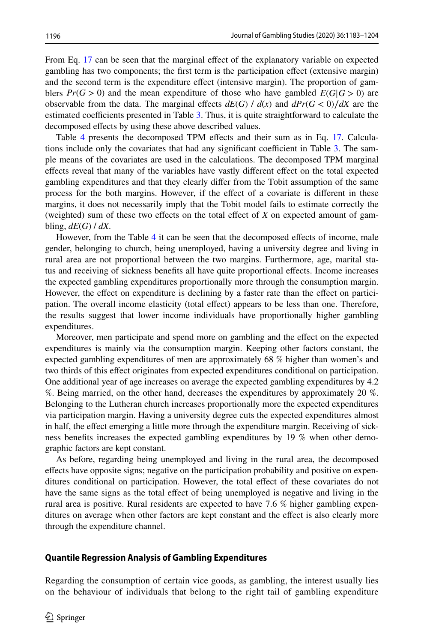From Eq. [17](#page-12-1) can be seen that the marginal effect of the explanatory variable on expected gambling has two components; the frst term is the participation efect (extensive margin) and the second term is the expenditure efect (intensive margin). The proportion of gamblers  $Pr(G > 0)$  and the mean expenditure of those who have gambled  $E(G|G > 0)$  are observable from the data. The marginal effects  $dE(G) / d(x)$  and  $dPr(G < 0)/dX$  are the estimated coefficients presented in Table [3](#page-10-0). Thus, it is quite straightforward to calculate the decomposed effects by using these above described values.

Table [4](#page-12-2) presents the decomposed TPM effects and their sum as in Eq. [17](#page-12-1). Calcula-tions include only the covariates that had any significant coefficient in Table [3.](#page-10-0) The sample means of the covariates are used in the calculations. The decomposed TPM marginal efects reveal that many of the variables have vastly diferent efect on the total expected gambling expenditures and that they clearly difer from the Tobit assumption of the same process for the both margins. However, if the efect of a covariate is diferent in these margins, it does not necessarily imply that the Tobit model fails to estimate correctly the (weighted) sum of these two efects on the total efect of *X* on expected amount of gambling, *dE*(*G*) / *dX*.

However, from the Table [4](#page-12-2) it can be seen that the decomposed efects of income, male gender, belonging to church, being unemployed, having a university degree and living in rural area are not proportional between the two margins. Furthermore, age, marital status and receiving of sickness benefts all have quite proportional efects. Income increases the expected gambling expenditures proportionally more through the consumption margin. However, the efect on expenditure is declining by a faster rate than the efect on participation. The overall income elasticity (total efect) appears to be less than one. Therefore, the results suggest that lower income individuals have proportionally higher gambling expenditures.

Moreover, men participate and spend more on gambling and the efect on the expected expenditures is mainly via the consumption margin. Keeping other factors constant, the expected gambling expenditures of men are approximately 68 % higher than women's and two thirds of this efect originates from expected expenditures conditional on participation. One additional year of age increases on average the expected gambling expenditures by 4.2 %. Being married, on the other hand, decreases the expenditures by approximately 20 %. Belonging to the Lutheran church increases proportionally more the expected expenditures via participation margin. Having a university degree cuts the expected expenditures almost in half, the efect emerging a little more through the expenditure margin. Receiving of sickness benefts increases the expected gambling expenditures by 19 % when other demographic factors are kept constant.

As before, regarding being unemployed and living in the rural area, the decomposed efects have opposite signs; negative on the participation probability and positive on expenditures conditional on participation. However, the total efect of these covariates do not have the same signs as the total efect of being unemployed is negative and living in the rural area is positive. Rural residents are expected to have 7.6 % higher gambling expenditures on average when other factors are kept constant and the efect is also clearly more through the expenditure channel.

#### **Quantile Regression Analysis of Gambling Expenditures**

Regarding the consumption of certain vice goods, as gambling, the interest usually lies on the behaviour of individuals that belong to the right tail of gambling expenditure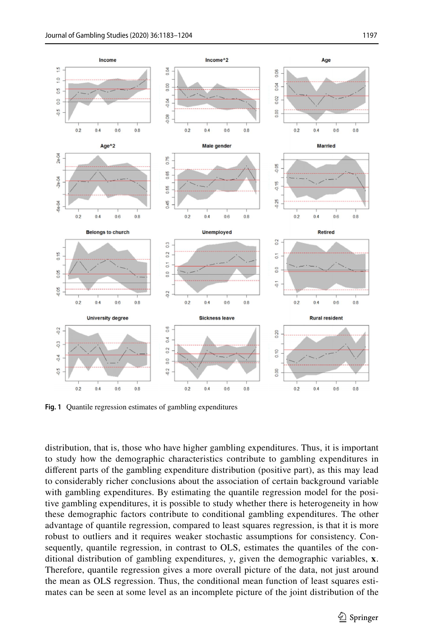

<span id="page-14-0"></span>**Fig. 1** Quantile regression estimates of gambling expenditures

distribution, that is, those who have higher gambling expenditures. Thus, it is important to study how the demographic characteristics contribute to gambling expenditures in diferent parts of the gambling expenditure distribution (positive part), as this may lead to considerably richer conclusions about the association of certain background variable with gambling expenditures. By estimating the quantile regression model for the positive gambling expenditures, it is possible to study whether there is heterogeneity in how these demographic factors contribute to conditional gambling expenditures. The other advantage of quantile regression, compared to least squares regression, is that it is more robust to outliers and it requires weaker stochastic assumptions for consistency. Consequently, quantile regression, in contrast to OLS, estimates the quantiles of the conditional distribution of gambling expenditures, y, given the demographic variables, x. Therefore, quantile regression gives a more overall picture of the data, not just around the mean as OLS regression. Thus, the conditional mean function of least squares estimates can be seen at some level as an incomplete picture of the joint distribution of the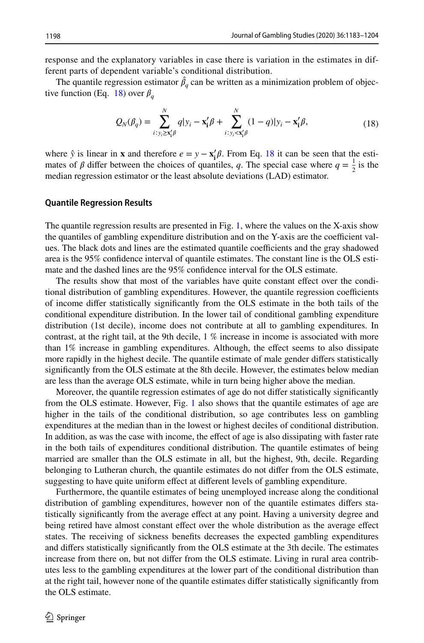response and the explanatory variables in case there is variation in the estimates in different parts of dependent variable's conditional distribution.

The quantile regression estimator  $\hat{\beta}_q$  can be written as a minimization problem of objec-tive function (Eq. [18\)](#page-15-0) over  $\beta_a$ 

<span id="page-15-0"></span>
$$
Q_N(\beta_q) = \sum_{i: y_i \ge \mathbf{x}_i' \beta}^N q |y_i - \mathbf{x}_i' \beta + \sum_{i: y_i < \mathbf{x}_i' \beta}^N (1 - q) |y_i - \mathbf{x}_i' \beta,\tag{18}
$$

where  $\hat{y}$  is linear in **x** and therefore  $e = y - \mathbf{x}_i^{\prime} \beta$ . From Eq. [18](#page-15-0) it can be seen that the estimates of  $\beta$  differ between the choices of quantiles, *q*. The special case where  $q = \frac{1}{2}$  is the median regression estimator or the least absolute deviations (LAD) estimator.

#### **Quantile Regression Results**

The quantile regression results are presented in Fig. [1](#page-14-0), where the values on the X-axis show the quantiles of gambling expenditure distribution and on the Y-axis are the coefficient values. The black dots and lines are the estimated quantile coefficients and the gray shadowed area is the 95% confdence interval of quantile estimates. The constant line is the OLS estimate and the dashed lines are the 95% confdence interval for the OLS estimate.

The results show that most of the variables have quite constant efect over the conditional distribution of gambling expenditures. However, the quantile regression coefficients of income difer statistically signifcantly from the OLS estimate in the both tails of the conditional expenditure distribution. In the lower tail of conditional gambling expenditure distribution (1st decile), income does not contribute at all to gambling expenditures. In contrast, at the right tail, at the 9th decile, 1 % increase in income is associated with more than 1% increase in gambling expenditures. Although, the efect seems to also dissipate more rapidly in the highest decile. The quantile estimate of male gender difers statistically signifcantly from the OLS estimate at the 8th decile. However, the estimates below median are less than the average OLS estimate, while in turn being higher above the median.

Moreover, the quantile regression estimates of age do not difer statistically signifcantly from the OLS estimate. However, Fig. [1](#page-14-0) also shows that the quantile estimates of age are higher in the tails of the conditional distribution, so age contributes less on gambling expenditures at the median than in the lowest or highest deciles of conditional distribution. In addition, as was the case with income, the efect of age is also dissipating with faster rate in the both tails of expenditures conditional distribution. The quantile estimates of being married are smaller than the OLS estimate in all, but the highest, 9th, decile. Regarding belonging to Lutheran church, the quantile estimates do not difer from the OLS estimate, suggesting to have quite uniform effect at different levels of gambling expenditure.

Furthermore, the quantile estimates of being unemployed increase along the conditional distribution of gambling expenditures, however non of the quantile estimates difers statistically signifcantly from the average efect at any point. Having a university degree and being retired have almost constant effect over the whole distribution as the average effect states. The receiving of sickness benefts decreases the expected gambling expenditures and difers statistically signifcantly from the OLS estimate at the 3th decile. The estimates increase from there on, but not difer from the OLS estimate. Living in rural area contributes less to the gambling expenditures at the lower part of the conditional distribution than at the right tail, however none of the quantile estimates difer statistically signifcantly from the OLS estimate.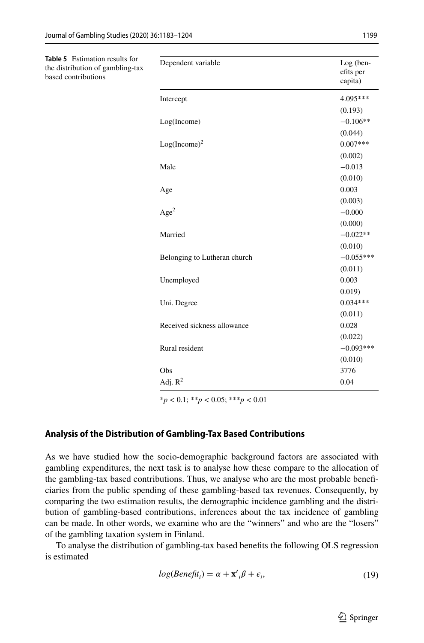<span id="page-16-0"></span>**Table 5** Estimation results for the distribution of gambling-tax

based contributions

| Dependent variable | $Log (ben-$<br>efits per<br>capita) |
|--------------------|-------------------------------------|
| Intercept          | 4.095***                            |
|                    | (0.193)                             |
| Log(Income)        | $-0.106**$                          |
|                    | (0.044)                             |
| $Log(Income)^2$    | $0.007***$                          |
|                    | (0.002)                             |
| Male               | $-0.013$                            |
|                    | (0.010)                             |
| Age                | 0.003                               |
|                    | (0.003)                             |
| Age <sup>2</sup>   | $-0.000$                            |
|                    |                                     |

| -0.012      |
|-------------|
| (0.010)     |
| 0.003       |
| (0.003)     |
| $-0.000$    |
| (0.000)     |
| $-0.022**$  |
| (0.010)     |
| $-0.055***$ |
| (0.011)     |
| 0.003       |
| 0.019       |
| $0.034***$  |
| (0.011)     |
| 0.028       |
| (0.022)     |
| $-0.093***$ |
| (0.010)     |
| 3776        |
| 0.04        |
|             |

\**p* < 0.1; \*\**p* < 0.05; \*\*\**p* < 0.01

## **Analysis of the Distribution of Gambling‑Tax Based Contributions**

As we have studied how the socio-demographic background factors are associated with gambling expenditures, the next task is to analyse how these compare to the allocation of the gambling-tax based contributions. Thus, we analyse who are the most probable benefciaries from the public spending of these gambling-based tax revenues. Consequently, by comparing the two estimation results, the demographic incidence gambling and the distribution of gambling-based contributions, inferences about the tax incidence of gambling can be made. In other words, we examine who are the "winners" and who are the "losers" of the gambling taxation system in Finland.

To analyse the distribution of gambling-tax based benefts the following OLS regression is estimated

<span id="page-16-1"></span>
$$
log(Benefiti) = \alpha + \mathbf{x}'_{i}\beta + \epsilon_{i},
$$
\n(19)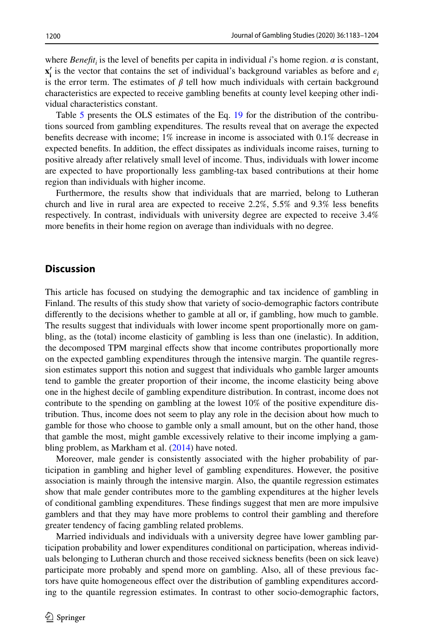where *Benefit<sub>i</sub>* is the level of benefits per capita in individual *i*'s home region.  $\alpha$  is constant,  $\mathbf{x}'_i$  is the vector that contains the set of individual's background variables as before and  $\epsilon_i$ is the error term. The estimates of  $\beta$  tell how much individuals with certain background characteristics are expected to receive gambling benefts at county level keeping other individual characteristics constant.

Table [5](#page-16-0) presents the OLS estimates of the Eq. [19](#page-16-1) for the distribution of the contributions sourced from gambling expenditures. The results reveal that on average the expected benefts decrease with income; 1% increase in income is associated with 0.1% decrease in expected benefits. In addition, the effect dissipates as individuals income raises, turning to positive already after relatively small level of income. Thus, individuals with lower income are expected to have proportionally less gambling-tax based contributions at their home region than individuals with higher income.

Furthermore, the results show that individuals that are married, belong to Lutheran church and live in rural area are expected to receive 2.2%, 5.5% and 9.3% less benefts respectively. In contrast, individuals with university degree are expected to receive 3.4% more benefts in their home region on average than individuals with no degree.

## **Discussion**

This article has focused on studying the demographic and tax incidence of gambling in Finland. The results of this study show that variety of socio-demographic factors contribute diferently to the decisions whether to gamble at all or, if gambling, how much to gamble. The results suggest that individuals with lower income spent proportionally more on gambling, as the (total) income elasticity of gambling is less than one (inelastic). In addition, the decomposed TPM marginal efects show that income contributes proportionally more on the expected gambling expenditures through the intensive margin. The quantile regression estimates support this notion and suggest that individuals who gamble larger amounts tend to gamble the greater proportion of their income, the income elasticity being above one in the highest decile of gambling expenditure distribution. In contrast, income does not contribute to the spending on gambling at the lowest 10% of the positive expenditure distribution. Thus, income does not seem to play any role in the decision about how much to gamble for those who choose to gamble only a small amount, but on the other hand, those that gamble the most, might gamble excessively relative to their income implying a gam-bling problem, as Markham et al. [\(2014](#page-20-20)) have noted.

Moreover, male gender is consistently associated with the higher probability of participation in gambling and higher level of gambling expenditures. However, the positive association is mainly through the intensive margin. Also, the quantile regression estimates show that male gender contributes more to the gambling expenditures at the higher levels of conditional gambling expenditures. These fndings suggest that men are more impulsive gamblers and that they may have more problems to control their gambling and therefore greater tendency of facing gambling related problems.

Married individuals and individuals with a university degree have lower gambling participation probability and lower expenditures conditional on participation, whereas individuals belonging to Lutheran church and those received sickness benefts (been on sick leave) participate more probably and spend more on gambling. Also, all of these previous factors have quite homogeneous efect over the distribution of gambling expenditures according to the quantile regression estimates. In contrast to other socio-demographic factors,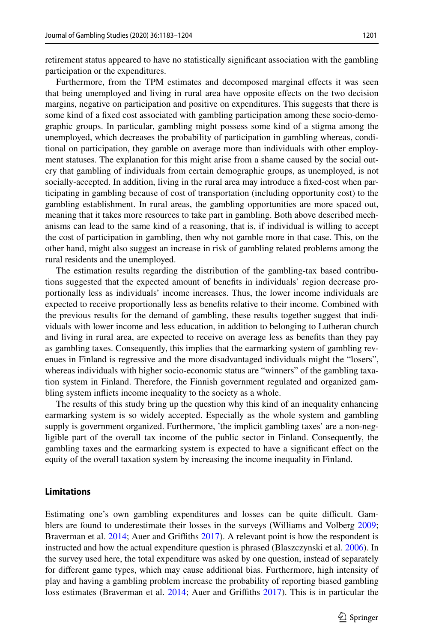retirement status appeared to have no statistically signifcant association with the gambling participation or the expenditures.

Furthermore, from the TPM estimates and decomposed marginal efects it was seen that being unemployed and living in rural area have opposite efects on the two decision margins, negative on participation and positive on expenditures. This suggests that there is some kind of a fxed cost associated with gambling participation among these socio-demographic groups. In particular, gambling might possess some kind of a stigma among the unemployed, which decreases the probability of participation in gambling whereas, conditional on participation, they gamble on average more than individuals with other employment statuses. The explanation for this might arise from a shame caused by the social outcry that gambling of individuals from certain demographic groups, as unemployed, is not socially-accepted. In addition, living in the rural area may introduce a fixed-cost when participating in gambling because of cost of transportation (including opportunity cost) to the gambling establishment. In rural areas, the gambling opportunities are more spaced out, meaning that it takes more resources to take part in gambling. Both above described mechanisms can lead to the same kind of a reasoning, that is, if individual is willing to accept the cost of participation in gambling, then why not gamble more in that case. This, on the other hand, might also suggest an increase in risk of gambling related problems among the rural residents and the unemployed.

The estimation results regarding the distribution of the gambling-tax based contributions suggested that the expected amount of benefts in individuals' region decrease proportionally less as individuals' income increases. Thus, the lower income individuals are expected to receive proportionally less as benefts relative to their income. Combined with the previous results for the demand of gambling, these results together suggest that individuals with lower income and less education, in addition to belonging to Lutheran church and living in rural area, are expected to receive on average less as benefts than they pay as gambling taxes. Consequently, this implies that the earmarking system of gambling revenues in Finland is regressive and the more disadvantaged individuals might the "losers", whereas individuals with higher socio-economic status are "winners" of the gambling taxation system in Finland. Therefore, the Finnish government regulated and organized gambling system inficts income inequality to the society as a whole.

The results of this study bring up the question why this kind of an inequality enhancing earmarking system is so widely accepted. Especially as the whole system and gambling supply is government organized. Furthermore, 'the implicit gambling taxes' are a non-negligible part of the overall tax income of the public sector in Finland. Consequently, the gambling taxes and the earmarking system is expected to have a signifcant efect on the equity of the overall taxation system by increasing the income inequality in Finland.

## **Limitations**

Estimating one's own gambling expenditures and losses can be quite difficult. Gamblers are found to underestimate their losses in the surveys (Williams and Volberg [2009;](#page-21-9) Braverman et al. [2014](#page-20-22); Auer and Griffiths [2017\)](#page-20-23). A relevant point is how the respondent is instructed and how the actual expenditure question is phrased (Blaszczynski et al. [2006\)](#page-20-24). In the survey used here, the total expenditure was asked by one question, instead of separately for diferent game types, which may cause additional bias. Furthermore, high intensity of play and having a gambling problem increase the probability of reporting biased gambling loss estimates (Braverman et al. [2014;](#page-20-22) Auer and Griffiths [2017](#page-20-23)). This is in particular the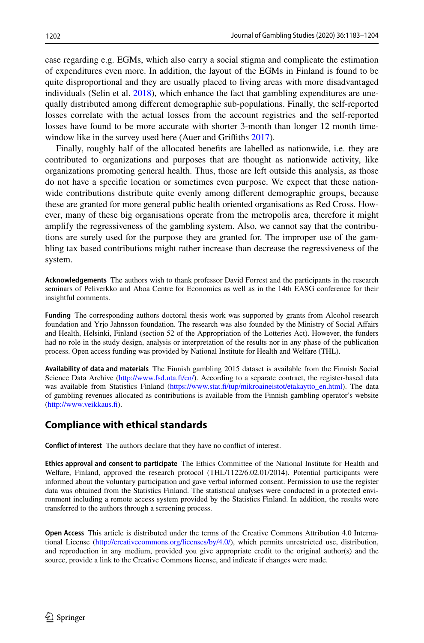case regarding e.g. EGMs, which also carry a social stigma and complicate the estimation of expenditures even more. In addition, the layout of the EGMs in Finland is found to be quite disproportional and they are usually placed to living areas with more disadvantaged individuals (Selin et al. [2018](#page-21-10)), which enhance the fact that gambling expenditures are unequally distributed among diferent demographic sub-populations. Finally, the self-reported losses correlate with the actual losses from the account registries and the self-reported losses have found to be more accurate with shorter 3-month than longer 12 month time-window like in the survey used here (Auer and Griffiths [2017\)](#page-20-23).

Finally, roughly half of the allocated benefts are labelled as nationwide, i.e. they are contributed to organizations and purposes that are thought as nationwide activity, like organizations promoting general health. Thus, those are left outside this analysis, as those do not have a specifc location or sometimes even purpose. We expect that these nationwide contributions distribute quite evenly among diferent demographic groups, because these are granted for more general public health oriented organisations as Red Cross. However, many of these big organisations operate from the metropolis area, therefore it might amplify the regressiveness of the gambling system. Also, we cannot say that the contributions are surely used for the purpose they are granted for. The improper use of the gambling tax based contributions might rather increase than decrease the regressiveness of the system.

**Acknowledgements** The authors wish to thank professor David Forrest and the participants in the research seminars of Peliverkko and Aboa Centre for Economics as well as in the 14th EASG conference for their insightful comments.

Funding The corresponding authors doctoral thesis work was supported by grants from Alcohol research foundation and Yrjo Jahnsson foundation. The research was also founded by the Ministry of Social Afairs and Health, Helsinki, Finland (section 52 of the Appropriation of the Lotteries Act). However, the funders had no role in the study design, analysis or interpretation of the results nor in any phase of the publication process. Open access funding was provided by National Institute for Health and Welfare (THL).

**Availability of data and materials** The Finnish gambling 2015 dataset is available from the Finnish Social Science Data Archive (http://www.fsd.uta.fi/en/). According to a separate contract, the register-based data was available from Statistics Finland (https://www.stat.fi/tup/mikroaineistot/etakaytto\_en.html). The data of gambling revenues allocated as contributions is available from the Finnish gambling operator's website [\(http://www.veikkaus.f](http://www.veikkaus.fi)).

## **Compliance with ethical standards**

**Confict of interest** The authors declare that they have no confict of interest.

**Ethics approval and consent to participate** The Ethics Committee of the National Institute for Health and Welfare, Finland, approved the research protocol (THL/1122/6.02.01/2014). Potential participants were informed about the voluntary participation and gave verbal informed consent. Permission to use the register data was obtained from the Statistics Finland. The statistical analyses were conducted in a protected environment including a remote access system provided by the Statistics Finland. In addition, the results were transferred to the authors through a screening process.

**Open Access** This article is distributed under the terms of the Creative Commons Attribution 4.0 International License ([http://creativecommons.org/licenses/by/4.0/\)](http://creativecommons.org/licenses/by/4.0/), which permits unrestricted use, distribution, and reproduction in any medium, provided you give appropriate credit to the original author(s) and the source, provide a link to the Creative Commons license, and indicate if changes were made.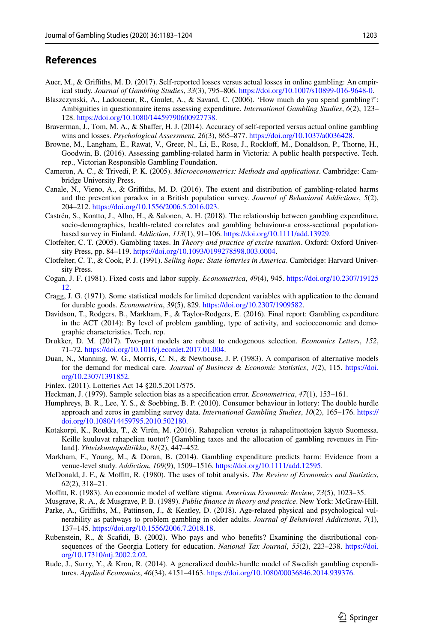## **References**

- <span id="page-20-23"></span>Auer, M., & Grifths, M. D. (2017). Self-reported losses versus actual losses in online gambling: An empirical study. *Journal of Gambling Studies*, *33*(3), 795–806. <https://doi.org/10.1007/s10899-016-9648-0>.
- <span id="page-20-24"></span>Blaszczynski, A., Ladouceur, R., Goulet, A., & Savard, C. (2006). 'How much do you spend gambling?': Ambiguities in questionnaire items assessing expenditure. *International Gambling Studies*, *6*(2), 123– 128. <https://doi.org/10.1080/14459790600927738>.
- <span id="page-20-22"></span>Braverman, J., Tom, M. A., & Shafer, H. J. (2014). Accuracy of self-reported versus actual online gambling wins and losses. *Psychological Assessment*, *26*(3), 865–877.<https://doi.org/10.1037/a0036428>.
- <span id="page-20-0"></span>Browne, M., Langham, E., Rawat, V., Greer, N., Li, E., Rose, J., Rocklof, M., Donaldson, P., Thorne, H., Goodwin, B. (2016). Assessing gambling-related harm in Victoria: A public health perspective. Tech. rep., Victorian Responsible Gambling Foundation.
- <span id="page-20-17"></span>Cameron, A. C., & Trivedi, P. K. (2005). *Microeconometrics: Methods and applications*. Cambridge: Cambridge University Press.
- <span id="page-20-6"></span>Canale, N., Vieno, A., & Grifths, M. D. (2016). The extent and distribution of gambling-related harms and the prevention paradox in a British population survey. *Journal of Behavioral Addictions*, *5*(2), 204–212. <https://doi.org/10.1556/2006.5.2016.023>.
- <span id="page-20-5"></span>Castrén, S., Kontto, J., Alho, H., & Salonen, A. H. (2018). The relationship between gambling expenditure, socio-demographics, health-related correlates and gambling behaviour-a cross-sectional populationbased survey in Finland. *Addiction*, *113*(1), 91–106.<https://doi.org/10.1111/add.13929>.
- <span id="page-20-2"></span>Clotfelter, C. T. (2005). Gambling taxes. In *Theory and practice of excise taxation*. Oxford: Oxford University Press, pp. 84–119. [https://doi.org/10.1093/0199278598.003.0004.](https://doi.org/10.1093/0199278598.003.0004)
- <span id="page-20-7"></span>Clotfelter, C. T., & Cook, P. J. (1991). *Selling hope: State lotteries in America*. Cambridge: Harvard University Press.
- <span id="page-20-12"></span>Cogan, J. F. (1981). Fixed costs and labor supply. *Econometrica*, *49*(4), 945. [https://doi.org/10.2307/19125](https://doi.org/10.2307/1912512) [12.](https://doi.org/10.2307/1912512)
- <span id="page-20-14"></span>Cragg, J. G. (1971). Some statistical models for limited dependent variables with application to the demand for durable goods. *Econometrica*, *39*(5), 829. [https://doi.org/10.2307/1909582.](https://doi.org/10.2307/1909582)
- <span id="page-20-8"></span>Davidson, T., Rodgers, B., Markham, F., & Taylor-Rodgers, E. (2016). Final report: Gambling expenditure in the ACT (2014): By level of problem gambling, type of activity, and socioeconomic and demographic characteristics. Tech. rep.
- <span id="page-20-19"></span>Drukker, D. M. (2017). Two-part models are robust to endogenous selection. *Economics Letters*, *152*, 71–72. <https://doi.org/10.1016/j.econlet.2017.01.004>.
- <span id="page-20-15"></span>Duan, N., Manning, W. G., Morris, C. N., & Newhouse, J. P. (1983). A comparison of alternative models for the demand for medical care. *Journal of Business & Economic Statistics*, *1*(2), 115. [https://doi.](https://doi.org/10.2307/1391852) [org/10.2307/1391852.](https://doi.org/10.2307/1391852)
- <span id="page-20-1"></span>Finlex. (2011). Lotteries Act 14 §20.5.2011/575.
- <span id="page-20-18"></span>Heckman, J. (1979). Sample selection bias as a specifcation error. *Econometrica*, *47*(1), 153–161.
- <span id="page-20-16"></span>Humphreys, B. R., Lee, Y. S., & Soebbing, B. P. (2010). Consumer behaviour in lottery: The double hurdle approach and zeros in gambling survey data. *International Gambling Studies*, *10*(2), 165–176. [https://](https://doi.org/10.1080/14459795.2010.502180) [doi.org/10.1080/14459795.2010.502180.](https://doi.org/10.1080/14459795.2010.502180)
- <span id="page-20-3"></span>Kotakorpi, K., Roukka, T., & Virén, M. (2016). Rahapelien verotus ja rahapelituottojen käyttö Suomessa. Keille kuuluvat rahapelien tuotot? [Gambling taxes and the allocation of gambling revenues in Finland]. *Yhteiskuntapolitiikka*, *81*(2), 447–452.
- <span id="page-20-20"></span>Markham, F., Young, M., & Doran, B. (2014). Gambling expenditure predicts harm: Evidence from a venue-level study. *Addiction*, *109*(9), 1509–1516. [https://doi.org/10.1111/add.12595.](https://doi.org/10.1111/add.12595)
- <span id="page-20-21"></span>McDonald, J. F., & Moftt, R. (1980). The uses of tobit analysis. *The Review of Economics and Statistics*, *62*(2), 318–21.
- <span id="page-20-13"></span>Moftt, R. (1983). An economic model of welfare stigma. *American Economic Review*, *73*(5), 1023–35.
- <span id="page-20-4"></span>Musgrave, R. A., & Musgrave, P. B. (1989). *Public fnance in theory and practice*. New York: McGraw-Hill.
- <span id="page-20-9"></span>Parke, A., Griffiths, M., Pattinson, J., & Keatley, D. (2018). Age-related physical and psychological vulnerability as pathways to problem gambling in older adults. *Journal of Behavioral Addictions*, *7*(1), 137–145. <https://doi.org/10.1556/2006.7.2018.18>.
- <span id="page-20-11"></span>Rubenstein, R., & Scafdi, B. (2002). Who pays and who benefts? Examining the distributional consequences of the Georgia Lottery for education. *National Tax Journal*, *55*(2), 223–238. [https://doi.](https://doi.org/10.17310/ntj.2002.2.02) [org/10.17310/ntj.2002.2.02](https://doi.org/10.17310/ntj.2002.2.02).
- <span id="page-20-10"></span>Rude, J., Surry, Y., & Kron, R. (2014). A generalized double-hurdle model of Swedish gambling expenditures. *Applied Economics*, *46*(34), 4151–4163. <https://doi.org/10.1080/00036846.2014.939376>.